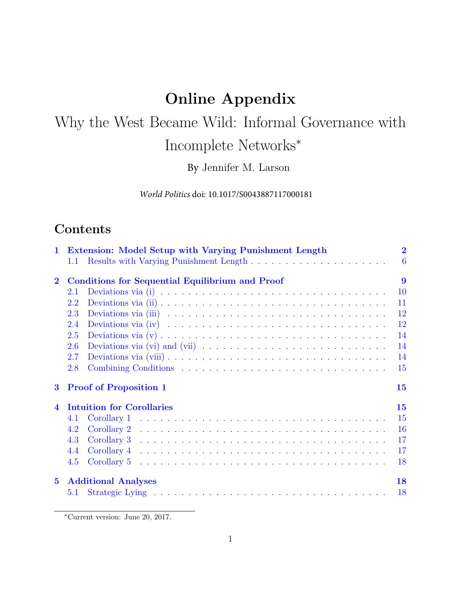## Online Appendix

# Why the West Became Wild: Informal Governance with Incomplete Networks<sup>∗</sup>

By Jennifer M. Larson

*World Politics* doi: 10.1017/S0043887117000181

## **Contents**

| $\mathbf{1}$            | Extension: Model Setup with Varying Punishment Length  | $\overline{2}$ |
|-------------------------|--------------------------------------------------------|----------------|
|                         | 1.1                                                    | 6              |
| $\overline{2}$          | <b>Conditions for Sequential Equilibrium and Proof</b> | 9              |
|                         | 2.1                                                    | 10             |
|                         | 2.2                                                    | 11             |
|                         | 2.3                                                    | 12             |
|                         | 2.4                                                    | 12             |
|                         | 2.5                                                    | 14             |
|                         | 2.6                                                    | 14             |
|                         | 2.7                                                    | 14             |
|                         | 2.8                                                    | 15             |
| 3                       | <b>Proof of Proposition 1</b>                          | 15             |
| $\overline{\mathbf{4}}$ | <b>Intuition for Corollaries</b>                       | 15             |
|                         | 4.1<br>Corollary 1                                     | 15             |
|                         | Corollary 2<br>4.2                                     | 16             |
|                         | 4.3                                                    | 17             |
|                         | 4.4                                                    | 17             |
|                         | 4.5                                                    | 18             |
| $5^{\circ}$             | <b>Additional Analyses</b>                             | 18             |
|                         | 5.1                                                    | <b>18</b>      |

<sup>∗</sup>Current version: June 20, 2017.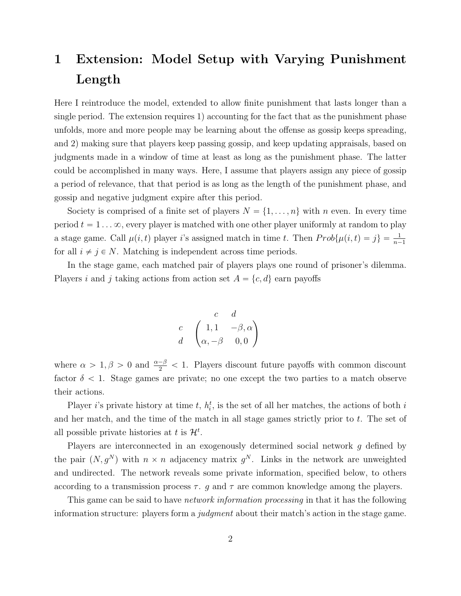## <span id="page-1-0"></span>1 Extension: Model Setup with Varying Punishment Length

Here I reintroduce the model, extended to allow finite punishment that lasts longer than a single period. The extension requires 1) accounting for the fact that as the punishment phase unfolds, more and more people may be learning about the offense as gossip keeps spreading, and 2) making sure that players keep passing gossip, and keep updating appraisals, based on judgments made in a window of time at least as long as the punishment phase. The latter could be accomplished in many ways. Here, I assume that players assign any piece of gossip a period of relevance, that that period is as long as the length of the punishment phase, and gossip and negative judgment expire after this period.

Society is comprised of a finite set of players  $N = \{1, \ldots, n\}$  with n even. In every time period  $t = 1 \ldots \infty$ , every player is matched with one other player uniformly at random to play a stage game. Call  $\mu(i, t)$  player i's assigned match in time t. Then  $Prob\{\mu(i, t) = j\} = \frac{1}{n-1}$ for all  $i \neq j \in N$ . Matching is independent across time periods.

In the stage game, each matched pair of players plays one round of prisoner's dilemma. Players i and j taking actions from action set  $A = \{c, d\}$  earn payoffs

$$
\begin{array}{cc}\n & c & d \\
c & \left( \begin{array}{cc} 1, 1 & -\beta, \alpha \\ \alpha, -\beta & 0, 0 \end{array} \right)\n\end{array}
$$

where  $\alpha > 1, \beta > 0$  and  $\frac{\alpha-\beta}{2} < 1$ . Players discount future payoffs with common discount factor  $\delta$  < 1. Stage games are private; no one except the two parties to a match observe their actions.

Player *i*'s private history at time *t*,  $h_i^t$ , is the set of all her matches, the actions of both *i* and her match, and the time of the match in all stage games strictly prior to t. The set of all possible private histories at t is  $\mathcal{H}^t$ .

Players are interconnected in an exogenously determined social network g defined by the pair  $(N, g^N)$  with  $n \times n$  adjacency matrix  $g^N$ . Links in the network are unweighted and undirected. The network reveals some private information, specified below, to others according to a transmission process  $\tau$ . g and  $\tau$  are common knowledge among the players.

This game can be said to have *network information processing* in that it has the following information structure: players form a *judgment* about their match's action in the stage game.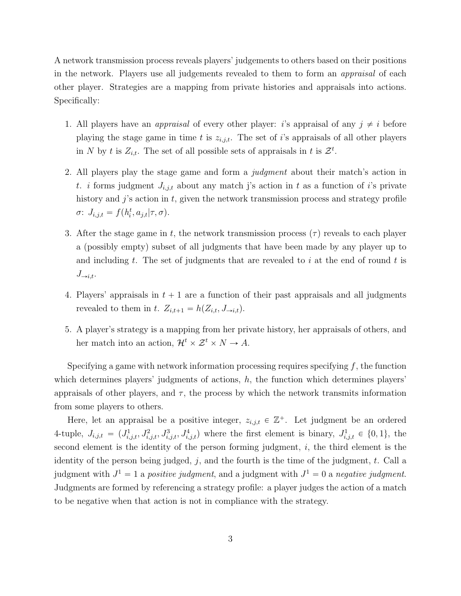A network transmission process reveals players' judgements to others based on their positions in the network. Players use all judgements revealed to them to form an appraisal of each other player. Strategies are a mapping from private histories and appraisals into actions. Specifically:

- 1. All players have an *appraisal* of every other player: *i*'s appraisal of any  $j \neq i$  before playing the stage game in time t is  $z_{i,j,t}$ . The set of i's appraisals of all other players in N by t is  $Z_{i,t}$ . The set of all possible sets of appraisals in t is  $\mathcal{Z}^t$ .
- 2. All players play the stage game and form a judgment about their match's action in t. i forms judgment  $J_{i,j,t}$  about any match j's action in t as a function of i's private history and  $j$ 's action in  $t$ , given the network transmission process and strategy profile  $\sigma$ :  $J_{i,j,t} = f(h_i^t, a_{j,t} | \tau, \sigma)$ .
- 3. After the stage game in t, the network transmission process  $(\tau)$  reveals to each player a (possibly empty) subset of all judgments that have been made by any player up to and including t. The set of judgments that are revealed to i at the end of round t is  $J_{\rightarrow i,t}$ .
- 4. Players' appraisals in  $t + 1$  are a function of their past appraisals and all judgments revealed to them in t.  $Z_{i,t+1} = h(Z_{i,t}, J_{\rightarrow i,t}).$
- 5. A player's strategy is a mapping from her private history, her appraisals of others, and her match into an action,  $\mathcal{H}^t \times \mathcal{Z}^t \times N \to A$ .

Specifying a game with network information processing requires specifying  $f$ , the function which determines players' judgments of actions, h, the function which determines players' appraisals of other players, and  $\tau$ , the process by which the network transmits information from some players to others.

Here, let an appraisal be a positive integer,  $z_{i,j,t} \in \mathbb{Z}^+$ . Let judgment be an ordered 4-tuple,  $J_{i,j,t} = (J_{i,j,t}^1, J_{i,j,t}^2, J_{i,j,t}^3, J_{i,j,t}^4)$  where the first element is binary,  $J_{i,j,t}^1 \in \{0,1\}$ , the second element is the identity of the person forming judgment,  $i$ , the third element is the identity of the person being judged,  $j$ , and the fourth is the time of the judgment,  $t$ . Call a judgment with  $J^1 = 1$  a positive judgment, and a judgment with  $J^1 = 0$  a negative judgment. Judgments are formed by referencing a strategy profile: a player judges the action of a match to be negative when that action is not in compliance with the strategy.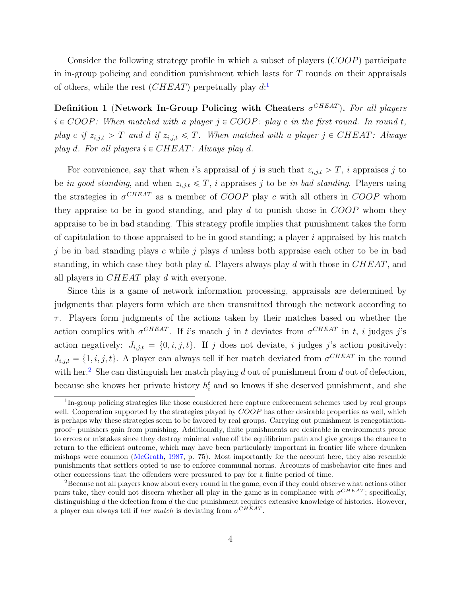Consider the following strategy profile in which a subset of players  $(COOP)$  participate in in-group policing and condition punishment which lasts for T rounds on their appraisals of others, while the rest  $(CHEAT)$  perpetually play  $d:$ <sup>[1](#page-3-0)</sup>

Definition 1 (Network In-Group Policing with Cheaters  $\sigma^{CHEAT}$ ). For all players  $i \in COOP$ : When matched with a player  $j \in COOP$ : play c in the first round. In round t, play c if  $z_{i,j,t} > T$  and d if  $z_{i,j,t} \leq T$ . When matched with a player  $j \in CHEAT$ : Always play d. For all players  $i \in CHEAT$ : Always play d.

For convenience, say that when i's appraisal of j is such that  $z_{i,j,t} > T$ , i appraises j to be in good standing, and when  $z_{i,j,t} \leq T$ , i appraises j to be in bad standing. Players using the strategies in  $\sigma^{CHEAT}$  as a member of COOP play c with all others in COOP whom they appraise to be in good standing, and play  $d$  to punish those in  $COOP$  whom they appraise to be in bad standing. This strategy profile implies that punishment takes the form of capitulation to those appraised to be in good standing; a player  $i$  appraised by his match j be in bad standing plays c while j plays d unless both appraise each other to be in bad standing, in which case they both play d. Players always play d with those in  $CHEAT$ , and all players in CHEAT play d with everyone.

Since this is a game of network information processing, appraisals are determined by judgments that players form which are then transmitted through the network according to  $\tau$ . Players form judgments of the actions taken by their matches based on whether the action complies with  $\sigma^{CHEAT}$ . If i's match j in t deviates from  $\sigma^{CHEAT}$  in t, i judges j's action negatively:  $J_{i,j,t} = \{0, i, j, t\}$ . If j does not deviate, i judges j's action positively:  $J_{i,j,t} = \{1, i, j, t\}$ . A player can always tell if her match deviated from  $\sigma^{CHEAT}$  in the round with her.<sup>[2](#page-3-1)</sup> She can distinguish her match playing d out of punishment from d out of defection, because she knows her private history  $h_i^t$  and so knows if she deserved punishment, and she

<span id="page-3-0"></span><sup>&</sup>lt;sup>1</sup>In-group policing strategies like those considered here capture enforcement schemes used by real groups well. Cooperation supported by the strategies played by COOP has other desirable properties as well, which is perhaps why these strategies seem to be favored by real groups. Carrying out punishment is renegotiationproof– punishers gain from punishing. Additionally, finite punishments are desirable in environments prone to errors or mistakes since they destroy minimal value off the equilibrium path and give groups the chance to return to the efficient outcome, which may have been particularly important in frontier life where drunken mishaps were common [\(McGrath,](#page-18-0) [1987,](#page-18-0) p. 75). Most importantly for the account here, they also resemble punishments that settlers opted to use to enforce communal norms. Accounts of misbehavior cite fines and other concessions that the offenders were pressured to pay for a finite period of time.

<span id="page-3-1"></span><sup>&</sup>lt;sup>2</sup>Because not all players know about every round in the game, even if they could observe what actions other pairs take, they could not discern whether all play in the game is in compliance with  $\sigma^{CHEAT}$ ; specifically, distinguishing  $d$  the defection from  $d$  the due punishment requires extensive knowledge of histories. However, a player can always tell if *her match* is deviating from  $\sigma^{CHEAT}$ .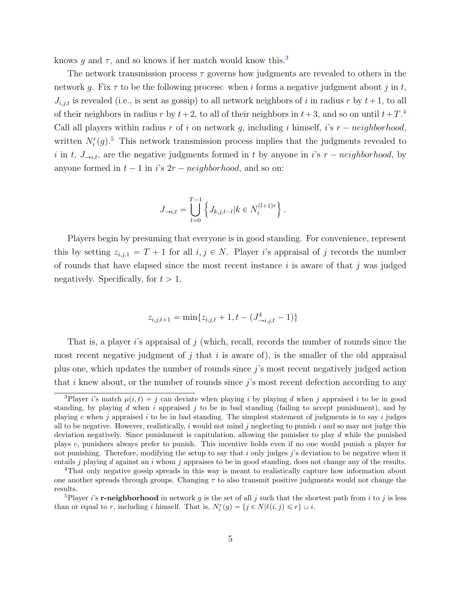knows g and  $\tau$ , and so knows if her match would know this.<sup>[3](#page-4-0)</sup>

The network transmission process  $\tau$  governs how judgments are revealed to others in the network g. Fix  $\tau$  to be the following process: when i forms a negative judgment about j in t,  $J_{i,j,t}$  is revealed (i.e., is sent as gossip) to all network neighbors of i in radius r by  $t+1$ , to all of their neighbors in radius r by  $t + 2$ , to all of their neighbors in  $t + 3$ , and so on until  $t + T$ .<sup>[4](#page-4-1)</sup> Call all players within radius r of i on network g, including i himself, i's  $r - neighborhood$ , written  $N_i^r(g)$ .<sup>[5](#page-4-2)</sup> This network transmission process implies that the judgments revealed to i in t,  $J_{\rightarrow i,t}$ , are the negative judgments formed in t by anyone in is  $r - neighborhood$ , by anyone formed in  $t - 1$  in i's  $2r - neighbourhood$ , and so on:

$$
J_{\to i,t} = \bigcup_{l=0}^{T-1} \left\{ J_{k,j,t-l} | k \in N_i^{(l+1)r} \right\}.
$$

Players begin by presuming that everyone is in good standing. For convenience, represent this by setting  $z_{i,j,1} = T + 1$  for all  $i, j \in N$ . Player i's appraisal of j records the number of rounds that have elapsed since the most recent instance i is aware of that j was judged negatively. Specifically, for  $t > 1$ ,

$$
z_{i,j,t+1} = \min\{z_{i,j,t} + 1, t - (J^4_{\to i,j,t} - 1)\}
$$

That is, a player i's appraisal of j (which, recall, records the number of rounds since the most recent negative judgment of j that i is aware of), is the smaller of the old appraisal plus one, which updates the number of rounds since j's most recent negatively judged action that i knew about, or the number of rounds since  $j$ 's most recent defection according to any

<span id="page-4-0"></span><sup>&</sup>lt;sup>3</sup>Player i's match  $\mu(i, t) = j$  can deviate when playing i by playing d when j appraised i to be in good standing, by playing d when i appraised j to be in bad standing (failing to accept punishment), and by playing c when j appraised i to be in bad standing. The simplest statement of judgments is to say i judges all to be negative. However, realistically,  $i$  would not mind  $j$  neglecting to punish  $i$  and so may not judge this deviation negatively. Since punishment is capitulation, allowing the punisher to play  $d$  while the punished plays c, punishers always prefer to punish. This incentive holds even if no one would punish a player for not punishing. Therefore, modifying the setup to say that i only judges j's deviation to be negative when it entails j playing d against an i whom j appraises to be in good standing, does not change any of the results.

<span id="page-4-1"></span><sup>4</sup>That only negative gossip spreads in this way is meant to realistically capture how information about one another spreads through groups. Changing  $\tau$  to also transmit positive judgments would not change the results.

<span id="page-4-2"></span><sup>&</sup>lt;sup>5</sup>Player *i*'s **r-neighborhood** in network g is the set of all j such that the shortest path from i to j is less than or equal to r, including i himself. That is,  $N_i^r(g) = \{j \in N | \ell(i, j) \leq r\} \cup i$ .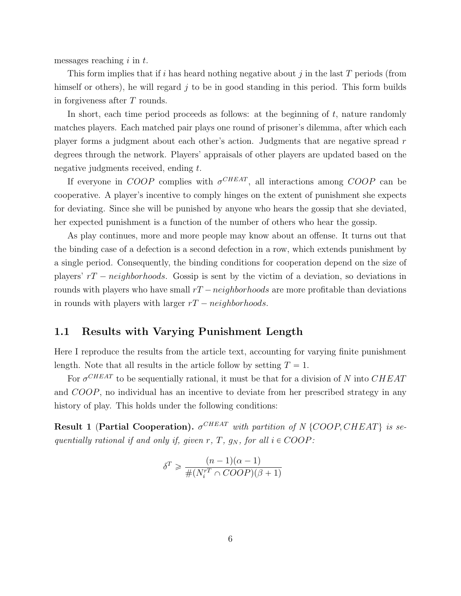messages reaching  $i$  in  $t$ .

This form implies that if i has heard nothing negative about j in the last  $T$  periods (from himself or others), he will regard  $j$  to be in good standing in this period. This form builds in forgiveness after T rounds.

In short, each time period proceeds as follows: at the beginning of t, nature randomly matches players. Each matched pair plays one round of prisoner's dilemma, after which each player forms a judgment about each other's action. Judgments that are negative spread r degrees through the network. Players' appraisals of other players are updated based on the negative judgments received, ending t.

If everyone in COOP complies with  $\sigma^{CHEAT}$ , all interactions among COOP can be cooperative. A player's incentive to comply hinges on the extent of punishment she expects for deviating. Since she will be punished by anyone who hears the gossip that she deviated, her expected punishment is a function of the number of others who hear the gossip.

As play continues, more and more people may know about an offense. It turns out that the binding case of a defection is a second defection in a row, which extends punishment by a single period. Consequently, the binding conditions for cooperation depend on the size of players'  $rT - neighborhoods$ . Gossip is sent by the victim of a deviation, so deviations in rounds with players who have small  $rT -neighborhoods$  are more profitable than deviations in rounds with players with larger  $rT - neighborhoods$ .

#### <span id="page-5-0"></span>1.1 Results with Varying Punishment Length

Here I reproduce the results from the article text, accounting for varying finite punishment length. Note that all results in the article follow by setting  $T = 1$ .

For  $\sigma^{CHEAT}$  to be sequentially rational, it must be that for a division of N into CHEAT and COOP, no individual has an incentive to deviate from her prescribed strategy in any history of play. This holds under the following conditions:

<span id="page-5-1"></span>**Result 1 (Partial Cooperation).**  $\sigma^{CHEAT}$  with partition of N {COOP, CHEAT} is sequentially rational if and only if, given r, T,  $g_N$ , for all  $i \in COOP$ :

$$
\delta^T \geq \frac{(n-1)(\alpha-1)}{\#(N_i^{rT} \cap COOP)(\beta+1)}
$$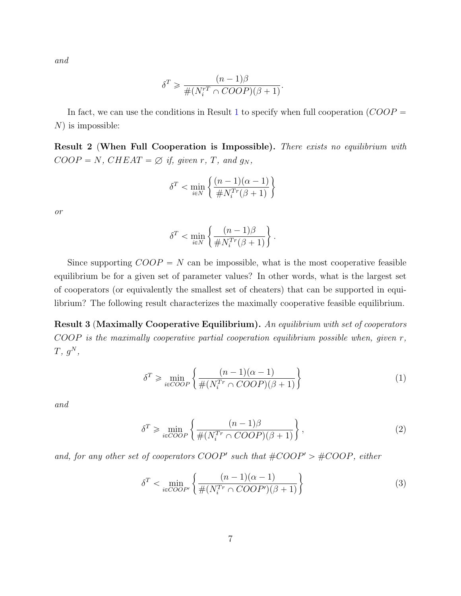and

$$
\delta^T \geq \frac{(n-1)\beta}{\#(N_i^{rT} \cap COOP)(\beta+1)}.
$$

In fact, we can use the conditions in Result [1](#page-5-1) to specify when full cooperation  $(COOP =$  $N$ ) is impossible:

**Result 2 (When Full Cooperation is Impossible).** There exists no equilibrium with  $COOP = N$ ,  $CHEAT = \emptyset$  if, given r, T, and  $g_N$ ,

$$
\delta^T < \min_{i \in N} \left\{ \frac{(n-1)(\alpha-1)}{\#N_i^{Tr}(\beta+1)} \right\}
$$

or

$$
\delta^T < \min_{i \in N} \left\{ \frac{(n-1)\beta}{\#N_i^{Tr}(\beta+1)} \right\}.
$$

Since supporting  $COOP = N$  can be impossible, what is the most cooperative feasible equilibrium be for a given set of parameter values? In other words, what is the largest set of cooperators (or equivalently the smallest set of cheaters) that can be supported in equilibrium? The following result characterizes the maximally cooperative feasible equilibrium.

Result 3 (Maximally Cooperative Equilibrium). An equilibrium with set of cooperators COOP is the maximally cooperative partial cooperation equilibrium possible when, given r,  $T, g^N,$ 

$$
\delta^T \ge \min_{i \in COOP} \left\{ \frac{(n-1)(\alpha-1)}{\#(N_i^{Tr} \cap COOP)(\beta+1)} \right\}
$$
(1)

and

$$
\delta^T \ge \min_{i \in COOP} \left\{ \frac{(n-1)\beta}{\#(N_i^{Tr} \cap COOP)(\beta + 1)} \right\},\tag{2}
$$

and, for any other set of cooperators COOP' such that  $\#COOP' > \#COOP$ , either

$$
\delta^T < \min_{i \in COOP'} \left\{ \frac{(n-1)(\alpha-1)}{\#(N_i^{Tr} \cap COOP')(\beta+1)} \right\} \tag{3}
$$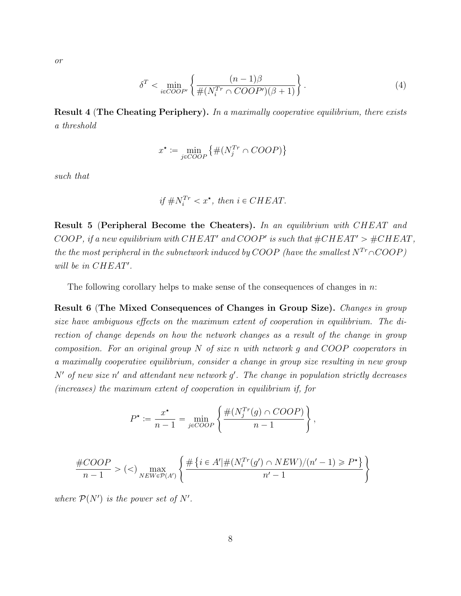or

$$
\delta^T < \min_{i \in COOP'} \left\{ \frac{(n-1)\beta}{\#(N_i^{Tr} \cap COOP')(\beta+1)} \right\} . \tag{4}
$$

Result 4 (The Cheating Periphery). In a maximally cooperative equilibrium, there exists a threshold

$$
x^* := \min_{j \in COOP} \{ \#(N_j^{Tr} \cap COOP) \}
$$

such that

$$
if #N_i^{Tr} < x^\star, then i \in CHEAT.
$$

Result 5 (Peripheral Become the Cheaters). In an equilibrium with CHEAT and COOP, if a new equilibrium with CHEAT' and COOP' is such that  $\#CHEAT' > \#CHEAT$ , the the most peripheral in the subnetwork induced by COOP (have the smallest  $N^{Tr} \cap COOP$ ) will be in CHEAT'.

The following corollary helps to make sense of the consequences of changes in  $n$ .

Result 6 (The Mixed Consequences of Changes in Group Size). Changes in group size have ambiguous effects on the maximum extent of cooperation in equilibrium. The direction of change depends on how the network changes as a result of the change in group composition. For an original group  $N$  of size n with network q and  $COOP$  cooperators in a maximally cooperative equilibrium, consider a change in group size resulting in new group  $N'$  of new size n' and attendant new network  $g'$ . The change in population strictly decreases (increases) the maximum extent of cooperation in equilibrium if, for

$$
P^* := \frac{x^*}{n-1} = \min_{j \in COOP} \left\{ \frac{\#(N_j^{Tr}(g) \cap COOP)}{n-1} \right\},\,
$$

$$
\frac{\#COOP}{n-1} > (<) \max_{NEW \in \mathcal{P}(A')} \left\{ \frac{\# \left\{ i \in A' | \#(N_i^{Tr}(g') \cap NEW)/(n'-1) \geq P^* \right\}}{n'-1} \right\}
$$

where  $\mathcal{P}(N')$  is the power set of N'.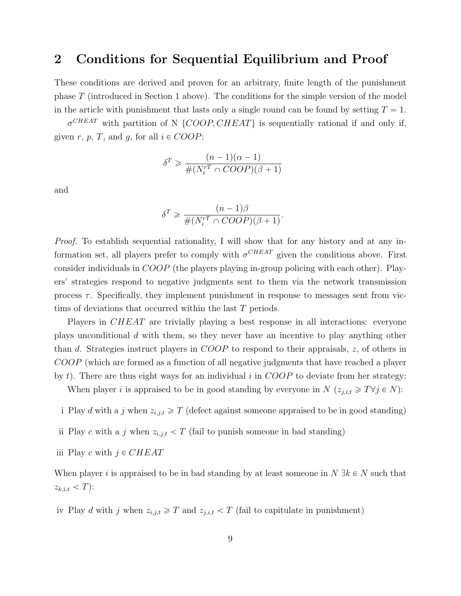### <span id="page-8-0"></span>2 Conditions for Sequential Equilibrium and Proof

These conditions are derived and proven for an arbitrary, finite length of the punishment phase T (introduced in Section 1 above). The conditions for the simple version of the model in the article with punishment that lasts only a single round can be found by setting  $T = 1$ .

 $\sigma^{CHEAT}$  with partition of N {COOP, CHEAT} is sequentially rational if and only if, given r, p, T, and g, for all  $i \in COOP$ :

$$
\delta^T \geq \frac{(n-1)(\alpha-1)}{\#(N_i^{rT} \cap COOP)(\beta+1)}
$$

and

$$
\delta^T \geq \frac{(n-1)\beta}{\#(N_i^{rT} \cap COOP)(\beta+1)}.
$$

Proof. To establish sequential rationality, I will show that for any history and at any information set, all players prefer to comply with  $\sigma^{CHEAT}$  given the conditions above. First consider individuals in COOP (the players playing in-group policing with each other). Players' strategies respond to negative judgments sent to them via the network transmission process  $\tau$ . Specifically, they implement punishment in response to messages sent from victims of deviations that occurred within the last T periods.

Players in CHEAT are trivially playing a best response in all interactions: everyone plays unconditional d with them, so they never have an incentive to play anything other than d. Strategies instruct players in COOP to respond to their appraisals,  $z$ , of others in COOP (which are formed as a function of all negative judgments that have reached a player by t). There are thus eight ways for an individual i in  $COOP$  to deviate from her strategy:

When player *i* is appraised to be in good standing by everyone in  $N(z_{j,i,t} \geq T \forall j \in N)$ :

i Play d with a j when  $z_{i,j,t} \geqslant T$  (defect against someone appraised to be in good standing)

- ii Play c with a j when  $z_{i,j,t} < T$  (fail to punish someone in bad standing)
- iii Play c with  $j \in CHEAT$

When player i is appraised to be in bad standing by at least someone in  $N \exists k \in N$  such that  $z_{k,i,t} < T$ :

iv Play d with j when  $z_{i,j,t} \geq T$  and  $z_{j,i,t} < T$  (fail to capitulate in punishment)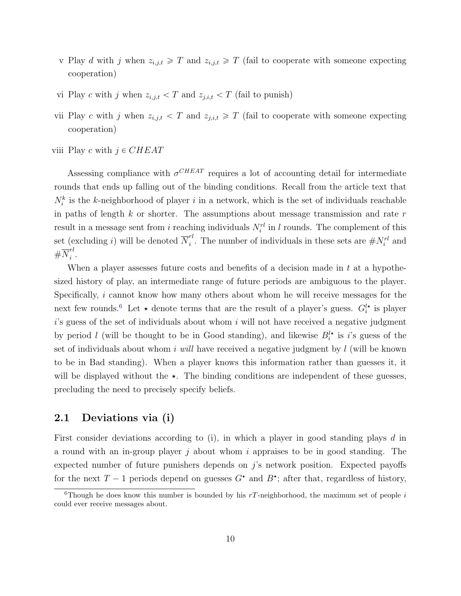- v Play d with j when  $z_{i,j,t} \geq T$  and  $z_{i,j,t} \geq T$  (fail to cooperate with someone expecting cooperation)
- vi Play c with j when  $z_{i,j,t} < T$  and  $z_{j,i,t} < T$  (fail to punish)
- vii Play c with j when  $z_{i,j,t} < T$  and  $z_{j,i,t} \geq T$  (fail to cooperate with someone expecting cooperation)
- viii Play c with  $j \in CHEAT$

Assessing compliance with  $\sigma^{CHEAT}$  requires a lot of accounting detail for intermediate rounds that ends up falling out of the binding conditions. Recall from the article text that  $N_i^k$  is the k-neighborhood of player i in a network, which is the set of individuals reachable in paths of length  $k$  or shorter. The assumptions about message transmission and rate  $r$ result in a message sent from i reaching individuals  $N_i^{rl}$  in l rounds. The complement of this set (excluding *i*) will be denoted  $\overline{N}_i^{rl}$ <sup>rt</sup>. The number of individuals in these sets are  $\#N_i^{rl}$  and  $\#\overline{N}^{rl}_i$  $\frac{i}{i}$ .

When a player assesses future costs and benefits of a decision made in  $t$  at a hypothesized history of play, an intermediate range of future periods are ambiguous to the player. Specifically, *i* cannot know how many others about whom he will receive messages for the next few rounds.<sup>[6](#page-9-1)</sup> Let  $\star$  denote terms that are the result of a player's guess.  $G_i^{l\star}$  is player  $i$ 's guess of the set of individuals about whom  $i$  will not have received a negative judgment by period l (will be thought to be in Good standing), and likewise  $B_i^{l*}$  is i's guess of the set of individuals about whom i will have received a negative judgment by  $l$  (will be known to be in Bad standing). When a player knows this information rather than guesses it, it will be displayed without the  $\star$ . The binding conditions are independent of these guesses, precluding the need to precisely specify beliefs.

#### <span id="page-9-0"></span>2.1 Deviations via (i)

First consider deviations according to  $(i)$ , in which a player in good standing plays d in a round with an in-group player j about whom i appraises to be in good standing. The expected number of future punishers depends on  $j$ 's network position. Expected payoffs for the next  $T-1$  periods depend on guesses  $G^*$  and  $B^*$ ; after that, regardless of history,

<span id="page-9-1"></span><sup>&</sup>lt;sup>6</sup>Though he does know this number is bounded by his  $rT$ -neighborhood, the maximum set of people i could ever receive messages about.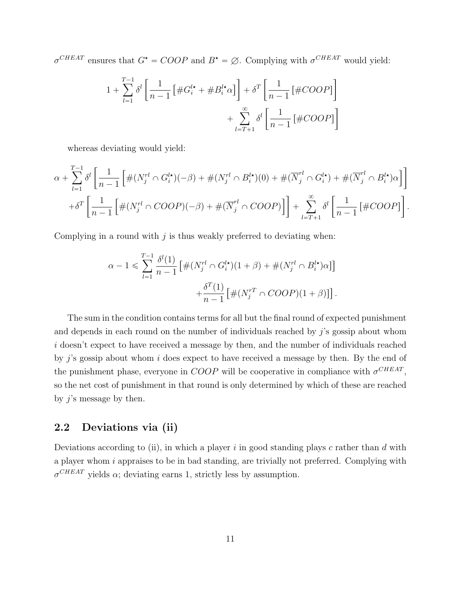$\sigma^{CHEAT}$  ensures that  $G^* = COOP$  and  $B^* = \emptyset$ . Complying with  $\sigma^{CHEAT}$  would yield:

$$
1 + \sum_{l=1}^{T-1} \delta^l \left[ \frac{1}{n-1} \left[ \#G_i^{l\star} + \#B_i^{l\star} \alpha \right] \right] + \delta^T \left[ \frac{1}{n-1} \left[ \#COOP \right] \right] + \sum_{l=T+1}^{\infty} \delta^l \left[ \frac{1}{n-1} \left[ \#COOP \right] \right]
$$

whereas deviating would yield:

$$
\alpha + \sum_{l=1}^{T-1} \delta^l \left[ \frac{1}{n-1} \left[ \#(N_j^{rl} \cap G_i^{l\star}) (-\beta) + \#(N_j^{rl} \cap B_i^{l\star}) (0) + \#(\overline{N}_j^{rl} \cap G_i^{l\star}) + \#(\overline{N}_j^{rl} \cap B_i^{l\star}) \alpha \right] \right] + \delta^T \left[ \frac{1}{n-1} \left[ \#(N_j^{rl} \cap COOP)(-\beta) + \#(\overline{N}_j^{rl} \cap COOP) \right] \right] + \sum_{l=T+1}^{\infty} \delta^l \left[ \frac{1}{n-1} \left[ \#COOP \right] \right].
$$

Complying in a round with  $j$  is thus weakly preferred to deviating when:

$$
\alpha - 1 \leqslant \sum_{l=1}^{T-1} \frac{\delta^l(1)}{n-1} \left[ \#(N_j^{rl} \cap G_i^{l\star})(1+\beta) + \#(N_j^{rl} \cap B_i^{l\star})\alpha \right] \right] + \frac{\delta^T(1)}{n-1} \left[ \#(N_j^{rT} \cap COOP)(1+\beta) \right].
$$

The sum in the condition contains terms for all but the final round of expected punishment and depends in each round on the number of individuals reached by  $j$ 's gossip about whom i doesn't expect to have received a message by then, and the number of individuals reached by j's gossip about whom i does expect to have received a message by then. By the end of the punishment phase, everyone in  $COOP$  will be cooperative in compliance with  $\sigma^{CHEAT}$ , so the net cost of punishment in that round is only determined by which of these are reached by  $j$ 's message by then.

#### <span id="page-10-0"></span>2.2 Deviations via (ii)

Deviations according to (ii), in which a player i in good standing plays c rather than d with a player whom i appraises to be in bad standing, are trivially not preferred. Complying with  $\sigma^{CHEAT}$  yields  $\alpha$ ; deviating earns 1, strictly less by assumption.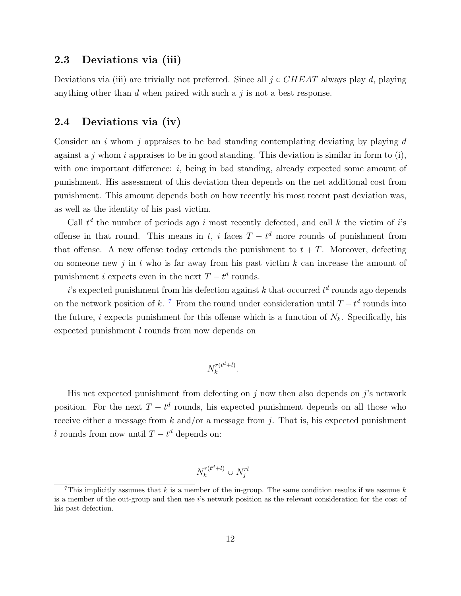#### <span id="page-11-0"></span>2.3 Deviations via (iii)

Deviations via (iii) are trivially not preferred. Since all  $j \in CHEAT$  always play d, playing anything other than  $d$  when paired with such a  $j$  is not a best response.

#### <span id="page-11-1"></span>2.4 Deviations via (iv)

Consider an i whom j appraises to be bad standing contemplating deviating by playing  $d$ against a j whom i appraises to be in good standing. This deviation is similar in form to  $(i)$ , with one important difference: i, being in bad standing, already expected some amount of punishment. His assessment of this deviation then depends on the net additional cost from punishment. This amount depends both on how recently his most recent past deviation was, as well as the identity of his past victim.

Call  $t^d$  the number of periods ago i most recently defected, and call k the victim of i's offense in that round. This means in t, i faces  $T - t<sup>d</sup>$  more rounds of punishment from that offense. A new offense today extends the punishment to  $t + T$ . Moreover, defecting on someone new j in t who is far away from his past victim  $k$  can increase the amount of punishment *i* expects even in the next  $T - t^d$  rounds.

 $i$ 's expected punishment from his defection against k that occurred  $t^d$  rounds ago depends on the network position of k.<sup>[7](#page-11-2)</sup> From the round under consideration until  $T - t^d$  rounds into the future, i expects punishment for this offense which is a function of  $N_k$ . Specifically, his expected punishment l rounds from now depends on

$$
N_k^{r(t^d+l)}.
$$

His net expected punishment from defecting on  $j$  now then also depends on  $j$ 's network position. For the next  $T - t^d$  rounds, his expected punishment depends on all those who receive either a message from  $k$  and/or a message from  $j$ . That is, his expected punishment l rounds from now until  $T - t^d$  depends on:

$$
N_k^{r(t^d+l)} \cup N_j^{rl}
$$

<span id="page-11-2"></span><sup>&</sup>lt;sup>7</sup>This implicitly assumes that k is a member of the in-group. The same condition results if we assume k is a member of the out-group and then use i's network position as the relevant consideration for the cost of his past defection.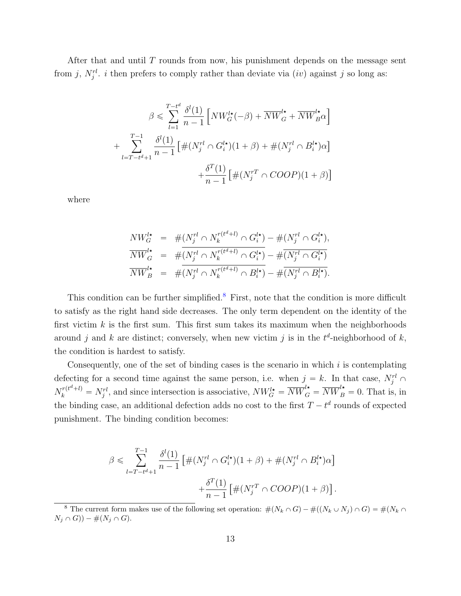After that and until  $T$  rounds from now, his punishment depends on the message sent from j,  $N_j^{rl}$ . i then prefers to comply rather than deviate via  $(iv)$  against j so long as:

$$
\beta \leqslant \sum_{l=1}^{T-t^d} \frac{\delta^l(1)}{n-1} \left[ N W_G^{l\star}(-\beta) + \overline{NW}_G^{l\star} + \overline{NW}_B^{l\star} \alpha \right]
$$

$$
+ \sum_{l=T-t^d+1}^{T-1} \frac{\delta^l(1)}{n-1} \left[ \# (N_j^{rl} \cap G_i^{l\star})(1+\beta) + \# (N_j^{rl} \cap B_i^{l\star}) \alpha \right]
$$

$$
+ \frac{\delta^T(1)}{n-1} \left[ \# (N_j^{rT} \cap COOP)(1+\beta) \right]
$$

where

$$
NW_G^{l\star} = #(N_j^{rl} \cap N_k^{r(t^d+l)} \cap G_i^{l\star}) - #(N_j^{rl} \cap G_i^{l\star}),
$$
  
\n
$$
\overline{NW}_G^{l\star} = #(\overline{N_j^{rl} \cap N_k^{r(t^d+l)} \cap G_i^{l\star})} - #(\overline{N_j^{rl} \cap G_i^{l\star})}
$$
  
\n
$$
\overline{NW}_B^{l\star} = #(\overline{N_j^{rl} \cap N_k^{r(t^d+l)} \cap B_i^{l\star})} - #(\overline{N_j^{rl} \cap B_i^{l\star})}.
$$

This condition can be further simplified.<sup>[8](#page-12-0)</sup> First, note that the condition is more difficult to satisfy as the right hand side decreases. The only term dependent on the identity of the first victim  $k$  is the first sum. This first sum takes its maximum when the neighborhoods around j and k are distinct; conversely, when new victim j is in the  $t^d$ -neighborhood of k, the condition is hardest to satisfy.

Consequently, one of the set of binding cases is the scenario in which  $i$  is contemplating defecting for a second time against the same person, i.e. when  $j = k$ . In that case,  $N_j^{rl} \cap$  $N_k^{r(t^d+l)} = N_j^{rl}$ , and since intersection is associative,  $NW_G^{l\star} = \overline{NW}_G^{l\star} = \overline{NW}_B^{l\star} = 0$ . That is, in the binding case, an additional defection adds no cost to the first  $T - t^d$  rounds of expected punishment. The binding condition becomes:

$$
\beta \leq \sum_{l=T-t^d+1}^{T-1} \frac{\delta^l(1)}{n-1} \left[ \#(N_j^{rl} \cap G_i^{l\star})(1+\beta) + \#(N_j^{rl} \cap B_i^{l\star})\alpha \right] + \frac{\delta^T(1)}{n-1} \left[ \#(N_j^{rT} \cap COOP)(1+\beta) \right].
$$

<span id="page-12-0"></span><sup>&</sup>lt;sup>8</sup> The current form makes use of the following set operation:  $\#(N_k \cap G) - \#((N_k \cup N_j) \cap G) = \#(N_k \cap G)$  $N_j \cap G$ ) – # $(N_j \cap G)$ .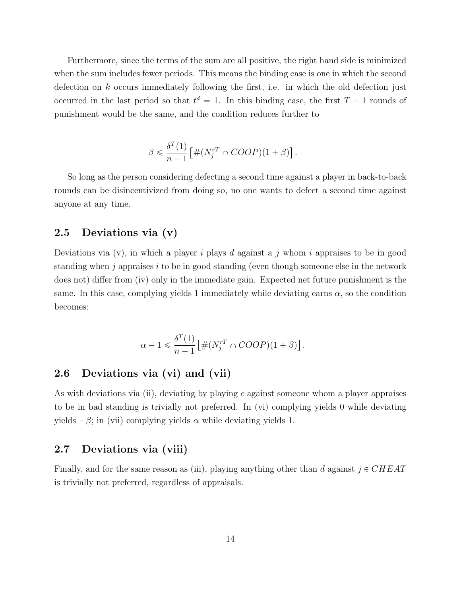Furthermore, since the terms of the sum are all positive, the right hand side is minimized when the sum includes fewer periods. This means the binding case is one in which the second defection on  $k$  occurs immediately following the first, i.e. in which the old defection just occurred in the last period so that  $t^d = 1$ . In this binding case, the first  $T - 1$  rounds of punishment would be the same, and the condition reduces further to

$$
\beta \leq \frac{\delta^T(1)}{n-1} \left[ \#(N_j^{rT} \cap COOP)(1+\beta) \right].
$$

So long as the person considering defecting a second time against a player in back-to-back rounds can be disincentivized from doing so, no one wants to defect a second time against anyone at any time.

#### <span id="page-13-0"></span>2.5 Deviations via (v)

Deviations via  $(v)$ , in which a player i plays d against a j whom i appraises to be in good standing when j appraises  $i$  to be in good standing (even though someone else in the network does not) differ from (iv) only in the immediate gain. Expected net future punishment is the same. In this case, complying yields 1 immediately while deviating earns  $\alpha$ , so the condition becomes:

$$
\alpha - 1 \leq \frac{\delta^T(1)}{n-1} \left[ \#(N_j^{rT} \cap COOP)(1+\beta) \right].
$$

#### <span id="page-13-1"></span>2.6 Deviations via (vi) and (vii)

As with deviations via (ii), deviating by playing c against someone whom a player appraises to be in bad standing is trivially not preferred. In (vi) complying yields 0 while deviating yields  $-\beta$ ; in (vii) complying yields  $\alpha$  while deviating yields 1.

#### <span id="page-13-2"></span>2.7 Deviations via (viii)

Finally, and for the same reason as (iii), playing anything other than d against  $j \in CHEAT$ is trivially not preferred, regardless of appraisals.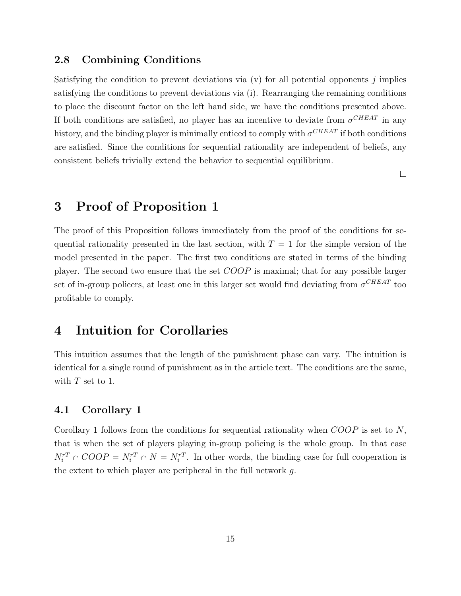#### <span id="page-14-0"></span>2.8 Combining Conditions

Satisfying the condition to prevent deviations via  $(v)$  for all potential opponents j implies satisfying the conditions to prevent deviations via (i). Rearranging the remaining conditions to place the discount factor on the left hand side, we have the conditions presented above. If both conditions are satisfied, no player has an incentive to deviate from  $\sigma^{CHEAT}$  in any history, and the binding player is minimally enticed to comply with  $\sigma^{CHEAT}$  if both conditions are satisfied. Since the conditions for sequential rationality are independent of beliefs, any consistent beliefs trivially extend the behavior to sequential equilibrium.

 $\Box$ 

## <span id="page-14-1"></span>3 Proof of Proposition 1

The proof of this Proposition follows immediately from the proof of the conditions for sequential rationality presented in the last section, with  $T = 1$  for the simple version of the model presented in the paper. The first two conditions are stated in terms of the binding player. The second two ensure that the set COOP is maximal; that for any possible larger set of in-group policers, at least one in this larger set would find deviating from  $\sigma^{CHEAT}$  too profitable to comply.

### <span id="page-14-2"></span>4 Intuition for Corollaries

This intuition assumes that the length of the punishment phase can vary. The intuition is identical for a single round of punishment as in the article text. The conditions are the same, with  $T$  set to 1.

#### <span id="page-14-3"></span>4.1 Corollary 1

Corollary 1 follows from the conditions for sequential rationality when  $COOP$  is set to  $N$ , that is when the set of players playing in-group policing is the whole group. In that case  $N_i^{rT} \cap COOP = N_i^{rT} \cap N = N_i^{rT}$ . In other words, the binding case for full cooperation is the extent to which player are peripheral in the full network g.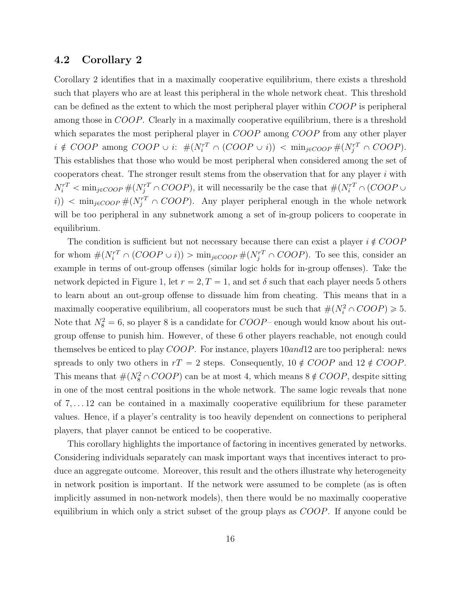#### <span id="page-15-0"></span>4.2 Corollary 2

Corollary 2 identifies that in a maximally cooperative equilibrium, there exists a threshold such that players who are at least this peripheral in the whole network cheat. This threshold can be defined as the extent to which the most peripheral player within  $COOP$  is peripheral among those in COOP. Clearly in a maximally cooperative equilibrium, there is a threshold which separates the most peripheral player in COOP among COOP from any other player  $i \notin COOP$  among  $COOP \cup i: \#(N_i^{rT} \cap (COOP \cup i)) < \min_{j \in COOP} \#(N_j^{rT} \cap COOP)$ . This establishes that those who would be most peripheral when considered among the set of cooperators cheat. The stronger result stems from the observation that for any player  $i$  with  $N_i^{rT} < \min_{j \in COOP} \# (N_j^{rT} \cap COOP)$ , it will necessarily be the case that  $\# (N_i^{rT} \cap COOP \cup$  $(i)$   $\leq$  min<sub>j $\in$ COOP  $\#(N_f^{rT} \cap COOP)$ . Any player peripheral enough in the whole network</sub> will be too peripheral in any subnetwork among a set of in-group policers to cooperate in equilibrium.

The condition is sufficient but not necessary because there can exist a player  $i \notin COOP$ for whom  $\#(N_i^{rT} \cap (COOP \cup i))$  >  $\min_{j \in COOP} \#(N_j^{rT} \cap COOP)$ . To see this, consider an example in terms of out-group offenses (similar logic holds for in-group offenses). Take the network depicted in Figure [1,](#page-16-2) let  $r = 2, T = 1$ , and set  $\delta$  such that each player needs 5 others to learn about an out-group offense to dissuade him from cheating. This means that in a maximally cooperative equilibrium, all cooperators must be such that  $\#(N_i^2 \cap COOP) \ge 5$ . Note that  $N_8^2 = 6$ , so player 8 is a candidate for  $COOP$  enough would know about his outgroup offense to punish him. However, of these 6 other players reachable, not enough could themselves be enticed to play COOP. For instance, players 10and12 are too peripheral: news spreads to only two others in  $rT = 2$  steps. Consequently,  $10 \notin COOP$  and  $12 \notin COOP$ . This means that  $\#(N_8^2 \cap COOP)$  can be at most 4, which means  $8 \notin COOP$ , despite sitting in one of the most central positions in the whole network. The same logic reveals that none of 7, . . . 12 can be contained in a maximally cooperative equilibrium for these parameter values. Hence, if a player's centrality is too heavily dependent on connections to peripheral players, that player cannot be enticed to be cooperative.

This corollary highlights the importance of factoring in incentives generated by networks. Considering individuals separately can mask important ways that incentives interact to produce an aggregate outcome. Moreover, this result and the others illustrate why heterogeneity in network position is important. If the network were assumed to be complete (as is often implicitly assumed in non-network models), then there would be no maximally cooperative equilibrium in which only a strict subset of the group plays as COOP. If anyone could be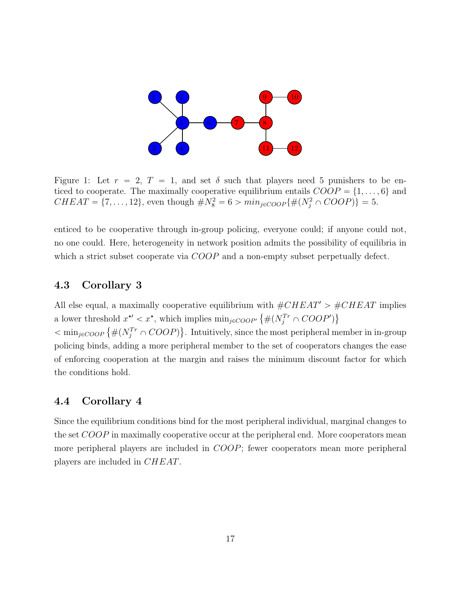<span id="page-16-2"></span>

Figure 1: Let  $r = 2$ ,  $T = 1$ , and set  $\delta$  such that players need 5 punishers to be enticed to cooperate. The maximally cooperative equilibrium entails  $COOP = \{1, \ldots, 6\}$  and  $CHEAT = \{7, ..., 12\}$ , even though  $\#N_8^2 = 6 > min_{j \in COOP} \{\#(N_j^2 \cap COOP)\} = 5.$ 

enticed to be cooperative through in-group policing, everyone could; if anyone could not, no one could. Here, heterogeneity in network position admits the possibility of equilibria in which a strict subset cooperate via COOP and a non-empty subset perpetually defect.

#### <span id="page-16-0"></span>4.3 Corollary 3

All else equal, a maximally cooperative equilibrium with  $\#CHEAT' > \#CHEAT$  implies a lower threshold  $x^{\star\prime} < x^{\star}$ , which implies  $\min_{j \in COOP'} \{ \#(N_j^{Tr} \cap COOP')\}$ a lower threshold  $x \leq x$ , which implies  $\min_{j \in COOP'} \{ \#(N_j^T \cap COOP) \}$ .<br>  $\lt \min_{j \in COOP} \{ \#(N_j^T \cap COOP) \}$ . Intuitively, since the most peripheral member in in-group

policing binds, adding a more peripheral member to the set of cooperators changes the ease of enforcing cooperation at the margin and raises the minimum discount factor for which the conditions hold.

#### <span id="page-16-1"></span>4.4 Corollary 4

Since the equilibrium conditions bind for the most peripheral individual, marginal changes to the set COOP in maximally cooperative occur at the peripheral end. More cooperators mean more peripheral players are included in COOP; fewer cooperators mean more peripheral players are included in CHEAT.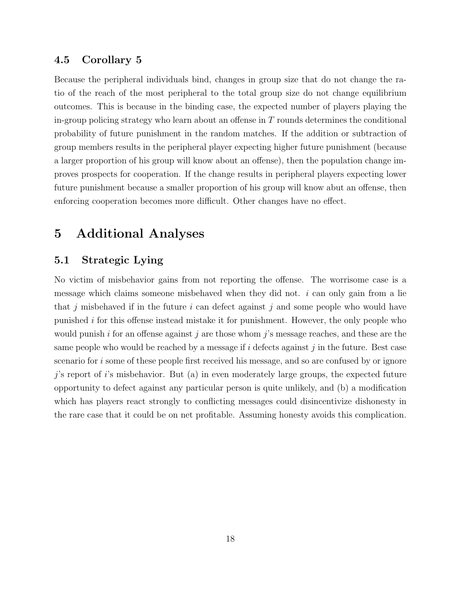#### <span id="page-17-0"></span>4.5 Corollary 5

Because the peripheral individuals bind, changes in group size that do not change the ratio of the reach of the most peripheral to the total group size do not change equilibrium outcomes. This is because in the binding case, the expected number of players playing the in-group policing strategy who learn about an offense in  $T$  rounds determines the conditional probability of future punishment in the random matches. If the addition or subtraction of group members results in the peripheral player expecting higher future punishment (because a larger proportion of his group will know about an offense), then the population change improves prospects for cooperation. If the change results in peripheral players expecting lower future punishment because a smaller proportion of his group will know abut an offense, then enforcing cooperation becomes more difficult. Other changes have no effect.

### <span id="page-17-1"></span>5 Additional Analyses

#### <span id="page-17-2"></span>5.1 Strategic Lying

No victim of misbehavior gains from not reporting the offense. The worrisome case is a message which claims someone misbehaved when they did not.  $i$  can only gain from a lie that j misbehaved if in the future  $i$  can defect against j and some people who would have punished i for this offense instead mistake it for punishment. However, the only people who would punish i for an offense against j are those whom j's message reaches, and these are the same people who would be reached by a message if  $i$  defects against  $j$  in the future. Best case scenario for i some of these people first received his message, and so are confused by or ignore  $j$ 's report of i's misbehavior. But (a) in even moderately large groups, the expected future opportunity to defect against any particular person is quite unlikely, and (b) a modification which has players react strongly to conflicting messages could disincentivize dishonesty in the rare case that it could be on net profitable. Assuming honesty avoids this complication.